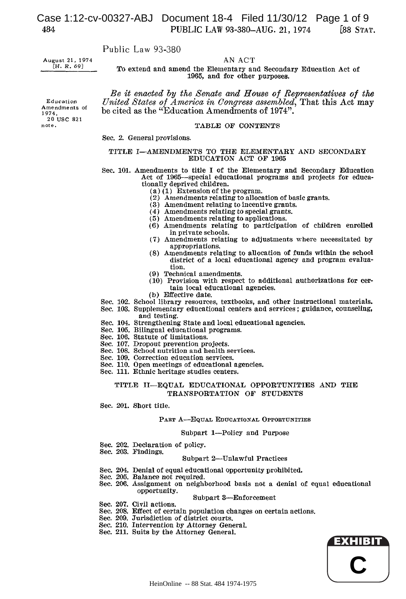#### Case 1:12-cv-00327-ABJ Document 18-4 Filed 11/30/12 Page 1 of 9 484 PUBLIC LAW 93-380-AUG. 21, 1974 **[88 STAT.**

Public Law 93-380

August 21, 1974  $\qquad$  AN ACT [H, R, 69]  $\qquad$  The extend and amond the Flamentary and To extend and amend the Elementary and Secondary Education Act of 1965, and for other purposes.

*Be it enacted by the Senate and House of Representatives of the* Education *United States of America in Congress assembled*, That this Act may annealments of 1974".<br>
Amendments of 1974". Amendments of be cited as the "Education Amendments of 1974".<br><sup>20 USC 821</sup><br>note. **20 USC 821**<br>note. **20 USC 821** 

#### TABLE OF CONTENTS

See. 2. General provisions.

#### TITLE I-AMENDMENTS TO THE ELEMENTARY AND SECONDARY EDUCATION ACT OF 1965

Sec. 101. Amendments to title I of the Elementary and Secondary Education Act of 1965-special educational programs and projects for educa-

- tionally deprived children.<br>(a)(1) Extension of the program.
	- $(2)$  Amendments relating to allocation of basic grants.
	- (3) Amendment relating to incentive grants.
	- (4) Amendments relating to special grants.
	- (5) Amendments relating to applications.
	- **(6)** Amendments relating to participation of children enrolled in private schools.
	- (7) Amendments relating to adjustments where necessitated by appropriations.
	- **(8)** Amendments relating to allocation of funds within the school district of a local educational agency and program evaluation.
	- **(9)** Technical amendments.
	- $(10)$  Provision with respect to additional authorizations for certain local educational agencies.
	- **(b)** Effective date.
- Sec. 102. School library resources, textbooks, and other instructional materials.
- Sec. 103. Supplementary educational centers and services; guidance, counseling, and testing.
- Sec. 104. Strengthening State and local educational agencies.
- Sec. 105. Bilingual educational programs.
- Sec. 106. Statute of limitations.
- 
- Sec. 107. Dropout prevention projects. Sec. 108. School nutrition and health services.
- Sec. 109. Correction education services.
- Sec. 110. Open meetings of educational agencies.
- Sec. 111. Ethnic heritage studies centers.

### TITLE II-EQUAL EDUCATIONAL OPPORTUNITIES AND **THE** TRANSPORTATION OF STUDENTS

See. 201. Short title.

#### PART A-EquAL EDUCATIONAL **OPPORTUNITIES**

#### Subpart 1-Policy and Purpose

- Sec. 202. Declaration of policy.
- See. **203.** Findings.

## Subpart 2-Unlawful Practices

- Sec. 204. Denial of equal educational opportunity prohibited.
- See. 205. Balance not required.
- Sec. 206. Assignment on neighborhood basis not a denial of equal educational opportunity.

#### Subpart 3-Enforcement

- Sec. 207. Civil actions.
- Sec. 208. Effect of certain population changes on certain actions.
- Sec. 209. Jurisdiction of district courts.
- Sec. 210. Intervention by Attorney General.
- See. 211. Suits by the Attorney General.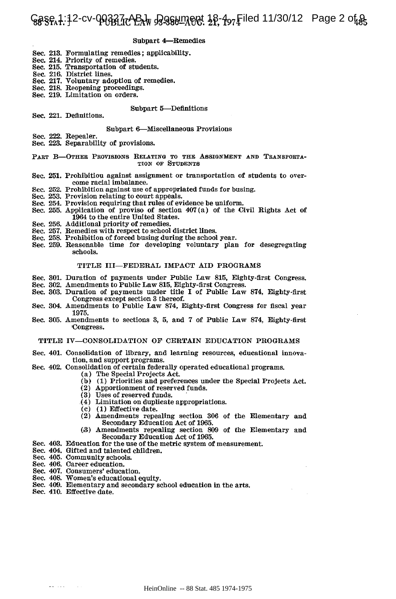## $G$ &§&A.]. 12-cv- $\Theta$  $337_C$ ABAw  $g$ Q§&LM@&! 18- $f_9$ 7 $F$ iled 11/30/12 Page 2 of §

#### Subpart 4-Remedies

- Sec. **213.** Formulating remedies; applicability.
- Sec. 214. Priority of remedies.
- Sec. **215.** Transportation of students.
- See. **216.** District lines.
- Sec. **217.** Voluntary adoption of remedies.
- Sec. **218.** Reopening proceedings.
- Sec. **219.** Limitation on orders.

#### Subpart 5-Definitions

Sec. 221. Definitions.

#### Subpart 6-Miscellaneous Provisions

Sec. 222. Repealer.

Sec. **223.** Separability of provisions.

- PART B-OTHER PROVISIONS RELATING TO THE ASSIGNMENT **AND** TRANSPORTA-**TION** OF **STUDENTS**
- Sec. **251.** Prohibition against assignment or transportation of students to overcome racial imbalance.
- Sec. **252.** Prohibition against use of appropriated funds for busing.
- Sec. **253.** Provision relating to court appeals.
- Sec. 254. Provision requiring that rules of evidence be uniform.
- Sec. **255.** Application of proviso of section 407 (a) of the Civil Rights Act of 1964 to the entire United States.
- Sec. **256.** Additional priority of remedies.
- Sec. **257.** Remedies with respect to school district lines.
- Sec. **258.** Prohibition of forced busing during the school year.
- Sec. **259.** Reasonable time for developing voluntary plan for desegregating schools.

#### TITLE III-FEDERAL IMPACT **AID** PROGRAMS

- Sec. **301.** Duration of payments under Public Law **815,** Eighty-first Congress.
- Sec. **302.** Amendments to Public Law **815,** Eighty-first Congress.
- Sec. **303.** Duration of payments under title I of Public Law **874,** Eighty-first Congress except section 3 thereof.
- Sec. 304. Amendments to Public Law 874, Eighty-first Congress for fiscal year **1975.**
- Sec. **305.** Amendments to sections **3, 5,** and **7** of Public Law **874,** Eighty-first Congress.
	- TITLE IV-CONSOLIDATION OF CERTAIN EDUCATION PROGRAMS
- Sec. 401. Consolidation of library, and learning resources, educational innovation, and support programs.
- Sec. 402. Consolidation of certain federally operated educational programs.
	- (a) The Special Projects Act.
	- **(b) (1)** Priorities and preferences under the Special Projects Act.
	- (2) Apportionment of reserved funds.
	- **(3)** Uses of reserved funds.
	- (4) Limitation on duplicate appropriations.
	- (c) **(1)** Effective date.
	- (2) Amendments repealing section **306** of the Elementary and Secondary Education Act of 1965.
	- **(3)** Amendments repealing section 809 of the Elementary and Secondary Education Act of 1965.
- Sec. 403. Education for the use of the metric system of measurement.
- Sec. 404. Gifted and talented children.
- Sec. 405. Community schools.
- Sec. 406. Career education.
- Sec. 407. Consumers' education.
- Sec. 408. Women's educational equity.
- Sec. 409. Elementary and secondary school education in the arts.
- Sec. 410. Effective date.

alan salah s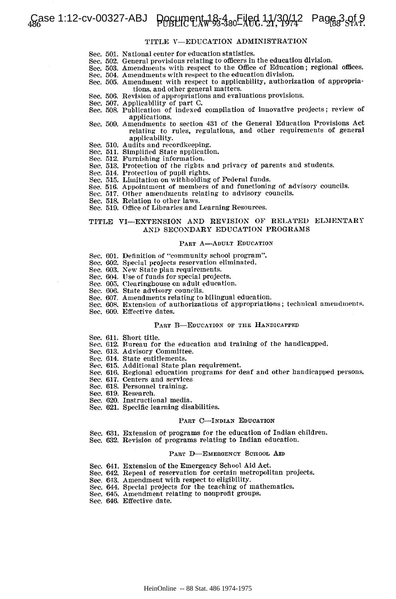## TITLE V-EDUCATION ADMINISTRATION

- Sec. 501. National center for education statistics.
- Sec. 502. General provisions relating to officers in the education division.
- Sec. 503. Amendments with respect to the Office of Education; regional offices. Sec. 504. Amendments with respect to the education division.
- Sec. 505. Amendment with respect to applicability, authorization of appropriations, and other general matters.
- Sec. 506. Revision of appropriations and evaluations provisions.
- Sec. 507. Applicability of part C.
- See. 508. Publication of indexed compilation of innovative projects; review of applications.
- Sec. 509. Amendments to section 431 of the General Education Provisions Act relating to rules, regulations, and other requirements of general applicability.
- See. 510. Audits and recordkeeping.
- Sec. 511. Simplified State application.
- Sec. 512. Furnishing information.
- Sec. 513. Protection of the rights and privacy of parents and students.
- See. 514. Protection of pupil rights.
- Sec. 515. Limitation on withholding of Federal funds.
- See. 516. Appointment of members of and functioning of advisory councils.
- Sec. 517. Other amendments relating to advisory councils.
- Sec. 518. Relation to other laws.
- Sec. 519. Office of Libraries and Learning Resources.

## TITLE VI-EXTENSION AND REVISION OF RELATED ELMENTARY AND SECONDARY EDUCATION PROGRAMS

#### PART **A-ADULT** EDUCATION

- Sec. 601. Definition of "community school program".
- Sec. 602. Special projects reservation eliminated.
- See. 603. New State plan requirements.
- Sec. 604. Use of funds for special projects.
- See. 605. Clearinghouse on adult education.
- Sec. 606. State advisory councils.
- Sec. 607. Amendments relating to bilingual education.
- Sec. 608. Extension of authorizations of appropriations; technical amendments.
- Sec. 609. Effective dates.

#### PART B-EDUCATION OF THE HANDICAPPED

- See. 611. Short title.
- See. 612. Bureau for the education and training of the handicapped.
- Sec. 613. Advisory Committee.
- Sec. 614. State entitlements.
- See. 615. Additional State plan requirement.
- See. 616. Regional education programs for deaf and other handicapped persons.
- See. 617. Centers and services
- **Sec.** 618. Personnel training.
- Sec. 619. Research.
- Sec. 620. Instructional media.
- See. 621. Specific learning disabilities.

#### PART C-INDIAN EDUCATION

Sec. 631. Extension of programs for the education of Indian children.

See. 632. Revision of programs relating to Indian education.

#### PART D-EMERGENCY SCHOOL AID

- Sec. 641. Extension of the Emergency School Aid Act.
- Sec. 642. Repeal of reservation for certain metropolitan projects.
- Sec. 643. Amendment with respect to eligibility.
- Sec. 644. Special projects for the teaching of mathematics.
- See. 645. Amendment relating to nonprofit groups.
- Sec. 646. Effective date.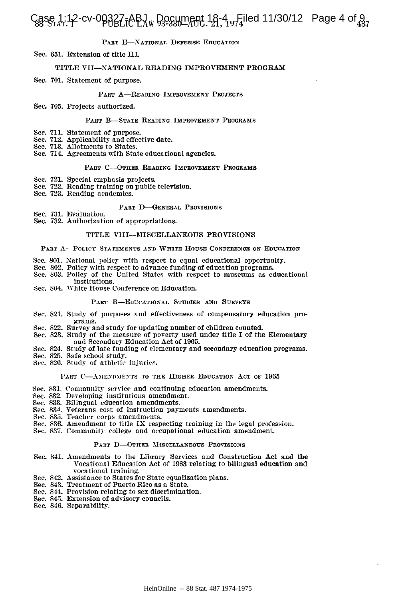# Case 1:12-cv-00327<sub>1</sub>eB<sub>AW</sub> Document 18-4 <sub>974</sub> lled 11/30/12 Page 4 of 9

#### PART **E-NATIONAL DEFENSE** EDUCATION

Sec. 651. Extension of title III.

#### TITLE VII-NATIONAL **READING** IMPROVEMENT PROGRAM

**See. 701.** Statement of purpose.

#### PART A-READING IMPROVEMENT PROJECTS

Sec. **705.** Projects authorized.

#### PART **B-STATE READING IMPROVEMENT PROGRAMS**

- Sec. 711. Statement of purpose.
- Sec. 712. Applicability and effective date.
- Sec. 713. Allotments to States.
- Sec. 714. Agreements with State educational agencies.

#### PART **C-OTHER READING IMPROVEMENT PROGRAMS**

- Sec. **721.** Special emphasis projects.
- Sec. **722.** Reading training on public television.
- Sec. **723.** Reading academies.

#### PART **D-GENERAL** PROVISIONS

- Sec. **731.** Evaluation.
- Sec. **732.** Authorization of appropriations.

#### TITLE **VIII-MISCELLANEOUS** PROVISIONS

PART A-POLICY **STATEMENTS AND** WHITE **HOUSE** CONFERENCE ON **EDUCATION**

- **Sec. 801.** National policy with respect to equal educational opportunity.
- Sec. **802.** Policy with respect to advance funding of education programs.
- Sec. 803. Policy of the United States with respect to museums as educational institutions.
- Sec. 804. White House Conference on Education.

#### PART B-EDUCATIONAL STUDIES AND SURVEYS

- Sec. 821. Study of purposes and effectiveness of compensatory education programs.
- Sec. 822. Survey and study for updating number of children counted.
- Sec. 823. Study of the measure of poverty used under title **I** of the Elementary and Secondary Education Act of 1965.
- Sec. 824. Study of late funding of elementary and secondary education programs.
- Sec. 825. Safe school study.
- Sec. 826. Study of athletic injuries.

## PART C-AMENDMENTS TO THE HIGHER EDUCATION ACT OF 1965

- Sec. 831. Community service and continuing education amendments.
- Sec. 832. Developing institutions amendment.
- Sec. 833. Bilingual education amendments.
- Sec. 834. Veterans cost of instruction payments amendments.
- Sec. 835. Teacher corps amendments.
- Sec. 836. Amendment to title IX respecting training in the legal profession.
- Sec. 837. Community college and occupational education amendment.

#### PART **D-OTHER MISCELLANEOUS PROVISIONS**

- Sec. 841. Amendments to the Library Services and Construction Act and the Vocational Education Act of **1963** relating to bilingual education and vocational training.
- Sec. 842. Assistance to States for State equalization plans.
- Sec. 843. Treatment of Puerto Rico as a State.
- Sec. 844. Provision relating to sex discrimination.
- Sec. 845. Extension of advisory councils.
- See. 846. Separability.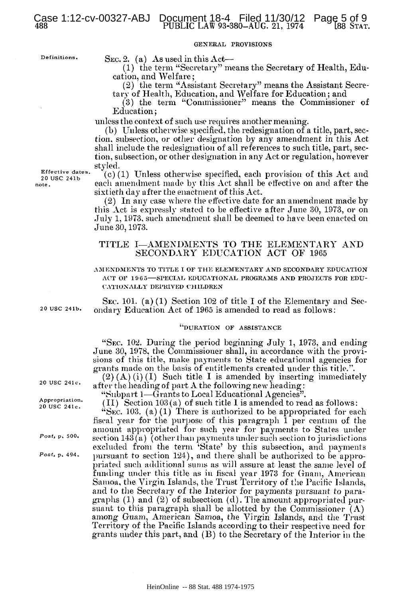## **GENERAL** rROVISIONS

Definitions. SEC. 2. (a) As used in this Act-

(1) the term "Secretary" means the Secretary of Health, Education, and Welfare;

(2) the term "Assistant Secretary" means the Assistant Secretary of Health, Education, and Welfare for Education; and

(3) the term "Commissioner" means the Commissioner of Education;

unless the context of such use requires another meaning.

(b) Unless otherwise specified, the redesignation of a title, part, section, subsection, or other designation by any amendment in this Act shall include the redesignation of all references to such title, part, section, subsection, or other designation in any Act or regulation, however

<sup>20</sup>**Usc** 241b **(c)** (1) Unless otherwise specified, each provision of this Act and **note.** each amendment nmade by this Act shall be effective on and after the sixtieth day after the enactment of this Act.

> (2) In any case where the effective date for an amendment made by this Act is expressly stated to be effective after June 30, 1973, or on July 1, 1973, such amendment shall be deemed to have been enacted on June **30,** 1973.

## TITLE I-AMENDMENTS TO THE ELEMENTARY AND SECONDARY EDUCATION ACT OF 1965

## **A3ENDMENTS** TO TITLE I OF **THE** ELEMENTARY AND SECONDARY EDUCATION ACT OF 1965-SPECIAL EDUCATIONAL PROGRAMNS AND PROJECTS FOR **EDU-** 'ATIONALLY DEPRIVED CHILDREN

SEC. 101. (a) (1) Section 102 of title I of the Elementary and See-20 usc 241b. ondary Education Act of 1965 is amended to read as follows:

## "¢DURATION OF ASSISTANCE

"SEC. 102. During the period beginning July 1, 1973, and ending June 30, 1978, the Commissioner shall, in accordance with the provisions of this title, make payments to State educational agencies for grants made on the basis of entitlements created under this title.".

20 USC 241c.  $(2) (A) (i) (1)$  Such title I is amended by inserting immediately after the heading of part A the following new heading:

**Appropriation.** "Subpart 1-Grants to Local Educational Agencies".

**20 usc 24tc.** (II) Section 103 (a) of such title **1** is amended to read as follows:

"SEC. 103. (a)  $(1)$  There is authorized to be appropriated for each fiscal year for the purpose of this paragraph 1 per centum of the amount appropriated for such year for payments to States under *Post,* **p. 500.** section 143(a) (other than payments under such section to jurisdictions excluded from the term 'State' by this subsection, and payments *Post,* **p.** 494. pursuant to section 124), and there shall be authorized to be appropriated such additional sums as will assure at least the same level of funding under this title as in fiscal year 1973 for Gnam, American Samoa, the Virgin Islands, the Trust Territory of the Pacific Islands, and to the Secretary of the Interior for payments pursuant to paragraphs (1) and (2) of subsection (d). The amount appropriated pursuant to this paragraph shall be allotted by the Commissioner  $(A)$ among Guam, American Samoa, the Virgin Islands, and the Trust Territory of the Pacific Islands according to their respective need for grants under this part, and (B) to the Secretary of the Interior in the

Effective dates.<br>20 USC 241b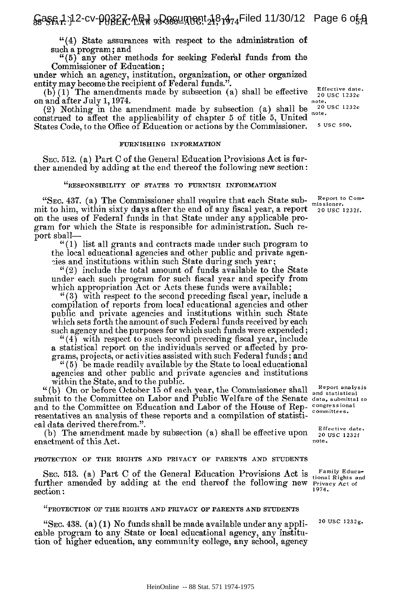"(4) State assurances with respect to the administration of such a program; and

"(5) any other methods for seeking Feder'al funds from the Commissioner of Education;

under which an agency, institution, organization, or other organized entity may become the recipient of Federal funds.".

 $(b)$  (1) The amendments made by subsection (a) shall be effective on and after July 1, 1974.

(2) Nothing in the amendment made by subsection (a) shall be construed to affect the applicability of chapter 5 of title 5, United States Code, to the Office of Education or actions by the Commissioner.

## **FURNISHING** INFORMATION

SEC. 512. (a) Part C of the General Education Provisions Act is further amended by adding at the end thereof the following new section:

## "RESPONSIBILITY OF **STATES** TO **FURNISH** INFORMATION

"SEc. 437. (a) The Commissioner shall require that each State submit to him, within sixty days after the end of any fiscal year, a report on the uses of Federal funds in that State under any applicable program for which the State is responsible for administration. Such report shall-

(1) list all grants and contracts made under such program to the local educational agencies and other public and private agenties and institutions within such State during such year;

 $''(2)$  include the total amount of funds available to the State under each such program for such fiscal year and specify from which appropriation Act or Acts these funds were available;

"(3) with respect to the second preceding fiscal year, include a compilation of reports from local educational agencies and other public and private agencies and institutions within such State which sets forth the amount of such Federal funds received by each such agency and the purposes for which such funds were expended:

"(4) with respect to such second preceding fiscal year, include a statistical report on the individuals served or affected by programs, projects, or activities assisted with such Federal funds; and "(5) be made readily available **by** the State to local educational

agencies and other public and private agencies and institutions within the State, and to the public.

"(b) On or before October 15 of each year, the Commissioner shall submit to the Committee on Labor and Public Welfare of the Senate data, submittal to and to the Committee on Education and Labor of the House of Rep-committees. resentatives an analysis of these reports and a compilation of statistical data derived therefrom.".

(b) The amendment made by subsection (a) shall be effective upon enactment of this Act.

#### PROTECTION **OF** THE RIGHTS **AND** PRIVACY **OF** PARENTS **AND STUDENTS**

SEC. 513. (a) Part C of the General Education Provisions Act is Family Educafurther amended by adding at the end thereof the following new Privacy Act of section:

**"PROTECTION** OF **THE RIGHTS AND PRIVACY OF PARENTS AND STUDENTS**

"SEC. 438. (a) **(1)** No funds shall be made available under any applicable program to any State or local educational agency, any institution of higher education, any community college, any school, agency

**Effective** date. 20 USC 1232c note. 20 USC 1232c note.

**<sup>5</sup>**USC 500.

20 **USC** 1232f.

Report to Com- missioner.

Report analysis **and** statistical

Effective date. 20 USC 1232f note.

1974.

20 **USC** 1232g.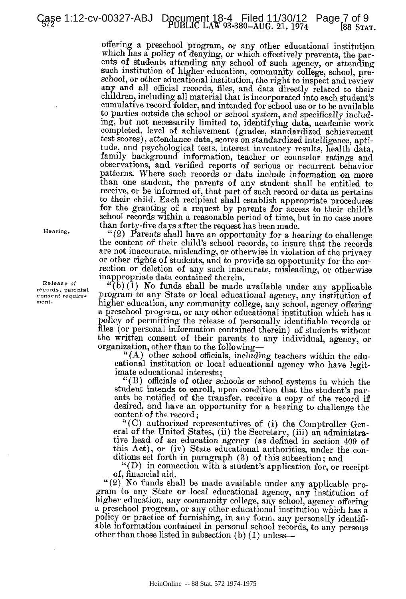offering a preschool program, or any other educational institution which has a policy of denying, or which effectively prevents, the parents of students attending any school of such agency, or attending such institution of higher education, community college, school, preschool, or other e any and all official records, files, and data directly related to their children, including all material that is incorporated into each student's cumulative record folder, and intended for school use or to be available to parties outside the school or school system, and specifically including, but not necessarily limited to, identifying data, academic work completed, level of achievement (grades, standardized achievement test scores), attendance data, scores on standardized intelligence, aptitude, and psychological tests, interest inventory results, health data, family background information, teacher or counselor ratings and observations, and verified reports of serious or recurrent behavior patterns. Where such records or data include information on more than one student, the parents of any student shall be entitled to receive, or be informed of, that part of such record or data as pertains to their child. Each recipient shall establish appropriate procedures for the granting of a request by parents for access to their child's school records within a reasonable period of time, but in no case more than forty-five days after the request has been made.

"(2) Parents shall have an opportunity for a hearing to challenge the content of their child's school records, to insure that the records are not inaccurate, misleading, or otherwise in violation of the privacy or other rights of students, and to provide an opportunity for the correction or deletion of any such inaccurate, misleading, or otherwise inappropriate data contained therein.

 $"$ (b)(1) No funds shall be made available under any applicable program to any State or local educational agency, any institution of higher education, any community college, any school, agency offering a preschool program, or any other educational institution which has a policy of permitting the release of personally identifiable records or files (or personal information contained therein) of students without the written consent of their parents to any individual, agency, or organization, other than to the following-

 $H(A)$  other school officials, including teachers within the educational institution or local educational agency who have legit- imate educational interests;

"(B) officials of other schools or school systems in which the student intends to enroll, upon condition that the student's par- ents be notified of the transfer, receive a copy of the record if desired, and have an opportunity for a hearing to challenge the content of the record;

"(C) authorized representatives of (i) the Comptroller General of the United States, (ii) the Secretary, (iii) an administrative head of an education agency (as defined in section 409 of this Act), or (iv) State educational authorities, under the conditions set forth in paragraph (3) of this subsection; and

 $"$ (D) in connection with a student's application for, or receipt of, financial aid.

"(2) No funds shall be made available under any applicable program to any State or local educational agency, any institution of higher education, any community college, any school, agency offering a preschool program, or any other educational institution which has a policy or practice of furnishing, in any form, any personally identifiable information contained in personal school records, to any persons other than those listed in subsection (b) **(1)** unless-

Hearing.

*Release of* records, parental consent requirement.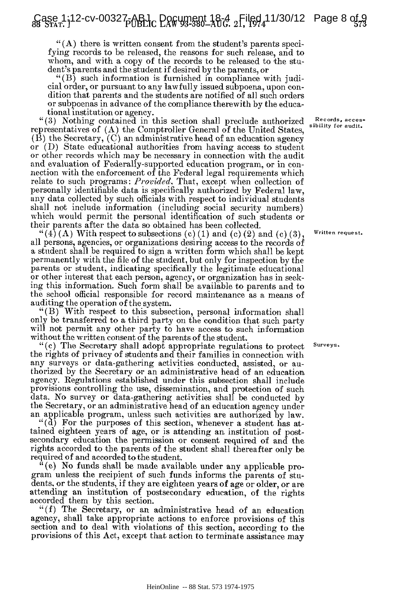$H(A)$  there is written consent from the student's parents specifying records to be released, the reasons for such release, and to whom, and with a copy of the records to be released to the stu-<br>dent's parents and the student if desired by the parents, or

 $\mathrm{H}(B)$  such information is furnished in compliance with judicial order, or pursuant to any lawfully issued subpoena, upon condition that parents and the students are notified of all such orders or subpoenas in advance of the compliance therewith by the educational institution or agency.

"(3) Nothing contained in this section shall preclude authorized representatives of  $(A)$  the Comptroller General of the United States,  $(B)$  the Secretary,  $(C)$  an administrative head of an education agency or (D) State educational authorities from having access to student or other records which may be necessary in connection with the audit and evaluation of Federally-supported education program, or in connection with the enforcement of the Federal legal requirements which relate to such programs: *Provided.* That, except when collection of personally identifiable data is specifically authorized by Federal law, any data collected by such officials with respect to individual students shall not include information (including social security numbers) which would permit the personal identification of such students or their parents after the data so obtained has been collected.

" $(4)$  (A) With respect to subsections (c) (1) and (c) (2) and (c) (3), all persons, agencies, or organizations desiring access to the records of a student shall be required to sign a written form which shall be kept permanently with the file of the student, but only for inspection by the parents or student, indicating specifically the legitimate educational or other interest that each person, agency, or organization has in seeking this information. Such form shall be available to parents and to the school official responsible for record maintenance as a means of auditing the operation of the system.

"(B) With respect to this subsection, personal information shall only be transferred to a third party on the condition that such party will not permit any other party to have access to such information without the written consent of the parents of the student.

"(c) The Secretary shall adopt appropriate regulations to protect the rights of privacy of students and their families in connection with any surveys or data-gathering activities conducted, assisted, or au- thorized by the Secretary or an administrative head of an education agency. Regulations established under this subsection shall include provisions controlling the use, dissemination, and protection of such data. No survey or data-gathering activities shall be conducted by the Secretary, or an administrative head of an education agency under an applicable program, unless such activities are authorized **by** law.

"(d) For the purposes of this section, whenever a student has attained eighteen years of age, or is attending an institution of postsecondary education the permission or consent required of and the rights accorded to the parents of the student shall thereafter only be required of and accorded to the student.

"(e) No funds shall be made available under any applicable program unless the recipient of such funds informs the parents of students, or the students, if they are eighteen years of age or older, or are attending an institution of postsecondary education, of the rights accorded them by this section.

"(f) The Secretary, or an administrative head of an education agency, shall take appropriate actions to enforce provisions of this section and to deal with violations of this section, according to the provisions of this Act, except that action to terminate assistance may

**Records, acces**sibility for audit.

Written request.

Surveys.